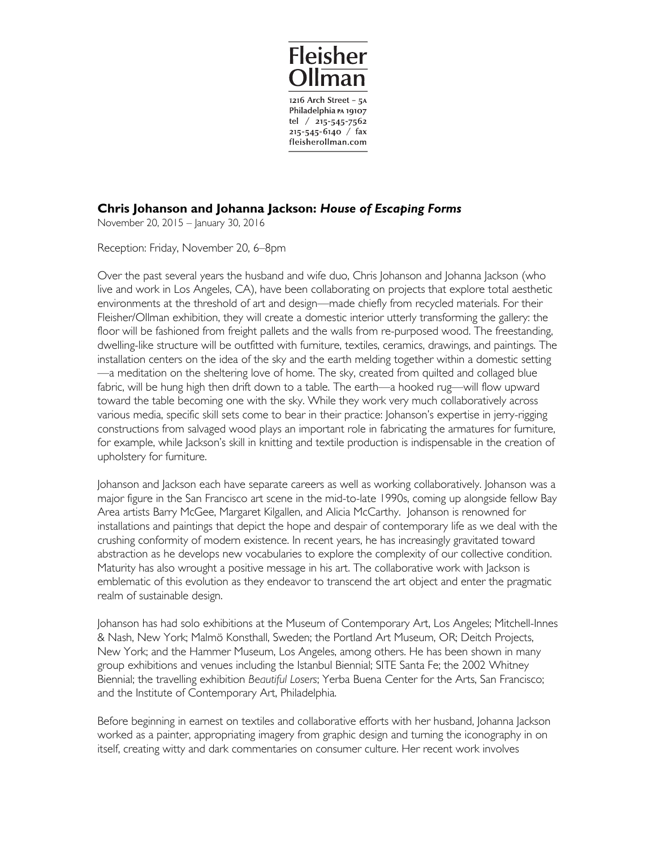

## **Chris Johanson and Johanna Jackson:** *House of Escaping Forms*

November 20, 2015 – January 30, 2016

Reception: Friday, November 20, 6–8pm

Over the past several years the husband and wife duo, Chris Johanson and Johanna Jackson (who live and work in Los Angeles, CA), have been collaborating on projects that explore total aesthetic environments at the threshold of art and design—made chiefly from recycled materials. For their Fleisher/Ollman exhibition, they will create a domestic interior utterly transforming the gallery: the floor will be fashioned from freight pallets and the walls from re-purposed wood. The freestanding, dwelling-like structure will be outfitted with furniture, textiles, ceramics, drawings, and paintings. The installation centers on the idea of the sky and the earth melding together within a domestic setting —a meditation on the sheltering love of home. The sky, created from quilted and collaged blue fabric, will be hung high then drift down to a table. The earth—a hooked rug—will flow upward toward the table becoming one with the sky. While they work very much collaboratively across various media, specific skill sets come to bear in their practice: Johanson's expertise in jerry-rigging constructions from salvaged wood plays an important role in fabricating the armatures for furniture, for example, while Jackson's skill in knitting and textile production is indispensable in the creation of upholstery for furniture.

Johanson and Jackson each have separate careers as well as working collaboratively. Johanson was a major figure in the San Francisco art scene in the mid-to-late 1990s, coming up alongside fellow Bay Area artists Barry McGee, Margaret Kilgallen, and Alicia McCarthy. Johanson is renowned for installations and paintings that depict the hope and despair of contemporary life as we deal with the crushing conformity of modern existence. In recent years, he has increasingly gravitated toward abstraction as he develops new vocabularies to explore the complexity of our collective condition. Maturity has also wrought a positive message in his art. The collaborative work with Jackson is emblematic of this evolution as they endeavor to transcend the art object and enter the pragmatic realm of sustainable design.

Johanson has had solo exhibitions at the Museum of Contemporary Art, Los Angeles; Mitchell-Innes & Nash, New York; Malmö Konsthall, Sweden; the Portland Art Museum, OR; Deitch Projects, New York; and the Hammer Museum, Los Angeles, among others. He has been shown in many group exhibitions and venues including the Istanbul Biennial; SITE Santa Fe; the 2002 Whitney Biennial; the travelling exhibition *Beautiful Losers*; Yerba Buena Center for the Arts, San Francisco; and the Institute of Contemporary Art, Philadelphia.

Before beginning in earnest on textiles and collaborative efforts with her husband, Johanna Jackson worked as a painter, appropriating imagery from graphic design and turning the iconography in on itself, creating witty and dark commentaries on consumer culture. Her recent work involves